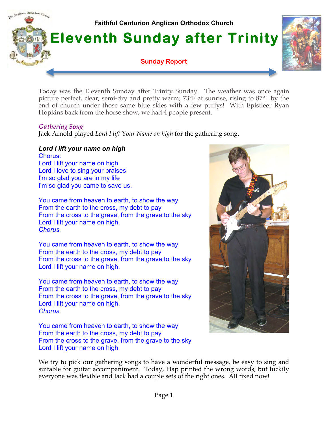

Today was the Eleventh Sunday after Trinity Sunday. The weather was once again picture perfect, clear, semi-dry and pretty warm; 73°F at sunrise, rising to 87°F by the end of church under those same blue skies with a few puffys! With Epistleer Ryan Hopkins back from the horse show, we had 4 people present.

#### *Gathering Song*

Jack Arnold played *Lord I lift Your Name on high* for the gathering song.

# *Lord I lift your name on high*

Chorus: Lord I lift your name on high Lord I love to sing your praises I'm so glad you are in my life I'm so glad you came to save us.

You came from heaven to earth, to show the way From the earth to the cross, my debt to pay From the cross to the grave, from the grave to the sky Lord I lift your name on high. *Chorus.*

You came from heaven to earth, to show the way From the earth to the cross, my debt to pay From the cross to the grave, from the grave to the sky Lord I lift your name on high.

You came from heaven to earth, to show the way From the earth to the cross, my debt to pay From the cross to the grave, from the grave to the sky Lord I lift your name on high. *Chorus.*

You came from heaven to earth, to show the way From the earth to the cross, my debt to pay From the cross to the grave, from the grave to the sky Lord I lift your name on high



We try to pick our gathering songs to have a wonderful message, be easy to sing and suitable for guitar accompaniment. Today, Hap printed the wrong words, but luckily everyone was flexible and Jack had a couple sets of the right ones. All fixed now!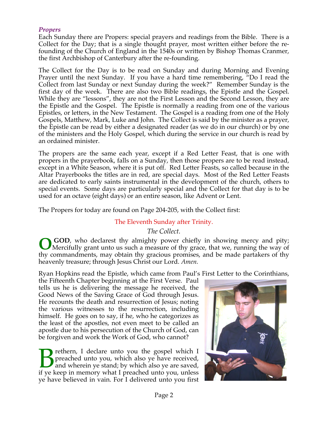# *Propers*

Each Sunday there are Propers: special prayers and readings from the Bible. There is a Collect for the Day; that is a single thought prayer, most written either before the refounding of the Church of England in the 1540s or written by Bishop Thomas Cranmer, the first Archbishop of Canterbury after the re-founding.

The Collect for the Day is to be read on Sunday and during Morning and Evening Prayer until the next Sunday. If you have a hard time remembering, "Do I read the Collect from last Sunday or next Sunday during the week?" Remember Sunday is the first day of the week. There are also two Bible readings, the Epistle and the Gospel. While they are "lessons", they are not the First Lesson and the Second Lesson, they are the Epistle and the Gospel. The Epistle is normally a reading from one of the various Epistles, or letters, in the New Testament. The Gospel is a reading from one of the Holy Gospels, Matthew, Mark, Luke and John. The Collect is said by the minister as a prayer, the Epistle can be read by either a designated reader (as we do in our church) or by one of the ministers and the Holy Gospel, which during the service in our church is read by an ordained minister.

The propers are the same each year, except if a Red Letter Feast, that is one with propers in the prayerbook, falls on a Sunday, then those propers are to be read instead, except in a White Season, where it is put off. Red Letter Feasts, so called because in the Altar Prayerbooks the titles are in red, are special days. Most of the Red Letter Feasts are dedicated to early saints instrumental in the development of the church, others to special events. Some days are particularly special and the Collect for that day is to be used for an octave (eight days) or an entire season, like Advent or Lent.

The Propers for today are found on Page 204-205, with the Collect first:

# The Eleventh Sunday after Trinity.

# *The Collect.*

 **GOD**, who declarest thy almighty power chiefly in showing mercy and pity; Mercifully grant unto us such a measure of thy grace, that we, running the way of thy commandments, may obtain thy gracious promises, and be made partakers of thy heavenly treasure; through Jesus Christ our Lord. *Amen.* **O**

Ryan Hopkins read the Epistle, which came from Paul's First Letter to the Corinthians,

the Fifteenth Chapter beginning at the First Verse. Paul tells us he is delivering the message he received, the Good News of the Saving Grace of God through Jesus. He recounts the death and resurrection of Jesus; noting the various witnesses to the resurrection, including himself. He goes on to say, if he, who he categorizes as the least of the apostles, not even meet to be called an apostle due to his persecution of the Church of God, can be forgiven and work the Work of God, who cannot?

rethern, I declare unto you the gospel which I preached unto you, which also ye have received, and wherein ye stand; by which also ye are saved, **if** ye keep in memory what I preached unto you, which also ye have received, and wherein ye stand; by which also ye are saved, if ye keep in memory what I preached unto you, unless ye have believed in vain. For I delivered unto you first

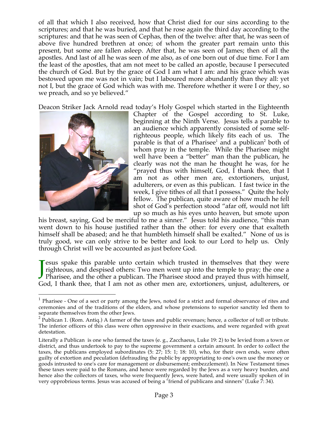of all that which I also received, how that Christ died for our sins according to the scriptures; and that he was buried, and that he rose again the third day according to the scriptures: and that he was seen of Cephas, then of the twelve: after that, he was seen of above five hundred brethren at once; of whom the greater part remain unto this present, but some are fallen asleep. After that, he was seen of James; then of all the apostles. And last of all he was seen of me also, as of one born out of due time. For I am the least of the apostles, that am not meet to be called an apostle, because I persecuted the church of God. But by the grace of God I am what I am: and his grace which was bestowed upon me was not in vain; but I laboured more abundantly than they all: yet not I, but the grace of God which was with me. Therefore whether it were I or they, so we preach, and so ye believed."

Deacon Striker Jack Arnold read today's Holy Gospel which started in the Eighteenth



Chapter of the Gospel according to St. Luke, beginning at the Ninth Verse. Jesus tells a parable to an audience which apparently consisted of some selfrighteous people, which likely fits each of us. The parable is that of a Pharisee<sup>1</sup> and a publican<sup>2</sup> both of whom pray in the temple. While the Pharisee might well have been a "better" man than the publican, he clearly was not the man he thought he was, for he "prayed thus with himself, God,  $\overline{I}$  thank thee, that I am not as other men are, extortioners, unjust, adulterers, or even as this publican. I fast twice in the week, I give tithes of all that I possess." Quite the holy fellow. The publican, quite aware of how much he fell shot of God's perfection stood "afar off, would not lift up so much as his eyes unto heaven, but smote upon

his breast, saying, God be merciful to me a sinner." Jesus told his audience, "this man went down to his house justified rather than the other: for every one that exalteth himself shall be abased; and he that humbleth himself shall be exalted." None of us is truly good, we can only strive to be better and look to our Lord to help us. Only through Christ will we be accounted as just before God.

**J** esus spake this parable unto certain which trusted in themselves that they were righteous, and despised others: Two men went up into the temple to pray; the one a Pharisee, and the other a publican. The Pharisee stood righteous, and despised others: Two men went up into the temple to pray; the one a Pharisee, and the other a publican. The Pharisee stood and prayed thus with himself, God, I thank thee, that I am not as other men are, extortioners, unjust, adulterers, or

 $1$  Pharisee - One of a sect or party among the Jews, noted for a strict and formal observance of rites and ceremonies and of the traditions of the elders, and whose pretensions to superior sanctity led them to separate themselves from the other Jews.

 $2^{2}$  Publican 1. (Rom. Antiq.) A farmer of the taxes and public revenues; hence, a collector of toll or tribute. The inferior officers of this class were often oppressive in their exactions, and were regarded with great detestation.

Literally a Publican is one who farmed the taxes (e. g., Zacchaeus, Luke 19: 2) to be levied from a town or district, and thus undertook to pay to the supreme government a certain amount. In order to collect the taxes, the publicans employed subordinates (5: 27; 15: 1; 18: 10), who, for their own ends, were often guilty of extortion and peculation (defrauding the public by appropriating to one's own use the money or goods intrusted to one's care for management or disbursement; embezzlement). In New Testament times these taxes were paid to the Romans, and hence were regarded by the Jews as a very heavy burden, and hence also the collectors of taxes, who were frequently Jews, were hated, and were usually spoken of in very opprobrious terms. Jesus was accused of being a "friend of publicans and sinners" (Luke  $\dot{7}$ : 34).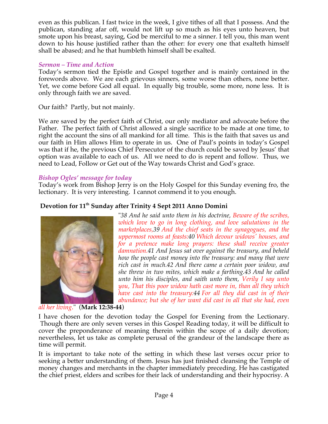even as this publican. I fast twice in the week, I give tithes of all that I possess. And the publican, standing afar off, would not lift up so much as his eyes unto heaven, but smote upon his breast, saying, God be merciful to me a sinner. I tell you, this man went down to his house justified rather than the other: for every one that exalteth himself shall be abased; and he that humbleth himself shall be exalted.

### *Sermon – Time and Action*

Today's sermon tied the Epistle and Gospel together and is mainly contained in the forewords above. We are each grievous sinners, some worse than others, none better. Yet, we come before God all equal. In equally big trouble, some more, none less. It is only through faith we are saved.

Our faith? Partly, but not mainly.

We are saved by the perfect faith of Christ, our only mediator and advocate before the Father. The perfect faith of Christ allowed a single sacrifice to be made at one time, to right the account the sins of all mankind for all time. This is the faith that saves us and our faith in Him allows Him to operate in us. One of Paul's points in today's Gospel was that if he, the previous Chief Persecutor of the church could be saved by Jesus' that option was available to each of us. All we need to do is repent and follow. Thus, we need to Lead, Follow or Get out of the Way towards Christ and God's grace.

### *Bishop Ogles' message for today*

Today's work from Bishop Jerry is on the Holy Gospel for this Sunday evening fro, the lectionary. It is very interesting. I cannot commend it to you enough.

# **Devotion for 11th Sunday after Trinity 4 Sept 2011 Anno Domini**



"*38 And he said unto them in his doctrine, Beware of the scribes, which love to go in long clothing, and love salutations in the marketplaces,39 And the chief seats in the synagogues, and the uppermost rooms at feasts:40 Which devour widows' houses, and for a pretence make long prayers: these shall receive greater damnation.41 And Jesus sat over against the treasury, and beheld how the people cast money into the treasury: and many that were rich cast in much.42 And there came a certain poor widow, and she threw in two mites, which make a farthing.43 And he called unto him his disciples, and saith unto them, Verily I say unto you, That this poor widow hath cast more in, than all they which have cast into the treasury:44 For all they did cast in of their abundance; but she of her want did cast in all that she had, even* 

*all her living*." (**Mark 12:38-44**)

I have chosen for the devotion today the Gospel for Evening from the Lectionary. Though there are only seven verses in this Gospel Reading today, it will be difficult to cover the preponderance of meaning therein within the scope of a daily devotion; nevertheless, let us take as complete perusal of the grandeur of the landscape there as time will permit.

It is important to take note of the setting in which these last verses occur prior to seeking a better understanding of them. Jesus has just finished cleansing the Temple of money changes and merchants in the chapter immediately preceding. He has castigated the chief priest, elders and scribes for their lack of understanding and their hypocrisy. A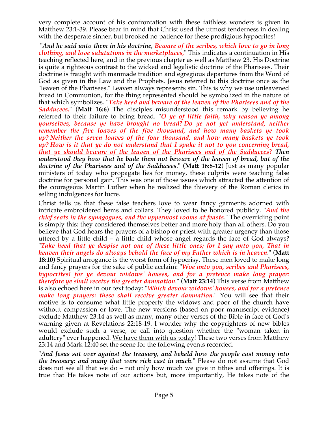very complete account of his confrontation with these faithless wonders is given in Matthew 23:1-39. Please bear in mind that Christ used the utmost tenderness in dealing with the desperate sinner, but brooked no patience for these prodigious hypocrites!

"*And he said unto them in his doctrine, Beware of the scribes, which love to go in long clothing, and love salutations in the marketplaces,*" This indicates a continuation in His teaching reflected here, and in the previous chapter as well as Matthew 23. His Doctrine is quite a righteous contrast to the wicked and legalistic doctrine of the Pharisees. Their doctrine is fraught with manmade tradition and egregious departures from the Word of God as given in the Law and the Prophets. Jesus referred to this doctrine once as the "leaven of the Pharisees." Leaven always represents sin. This is why we use unleavened bread in Communion, for the thing represented should be symbolized in the nature of that which symbolizes. "*Take heed and beware of the leaven of the Pharisees and of the Sadducees.*" (**Matt 16:6**) The disciples misunderstood this remark by believing he referred to their failure to bring bread. "*O ye of little faith, why reason ye among yourselves, because ye have brought no bread? Do ye not yet understand, neither remember the five loaves of the five thousand, and how many baskets ye took up? Neither the seven loaves of the four thousand, and how many baskets ye took up? How is it that ye do not understand that I spake it not to you concerning bread, that ye should beware of the leaven of the Pharisees and of the Sadducees*? *Then understood they how that he bade them not beware of the leaven of bread, but of the doctrine of the Pharisees and of the Sadducees*." (**Matt 16:8-12**) Just as many popular ministers of today who propagate lies for money, these culprits were teaching false doctrine for personal gain. This was one of those issues which attracted the attention of the courageous Martin Luther when he realized the thievery of the Roman clerics in selling indulgences for lucre.

Christ tells us that these false teachers love to wear fancy garments adorned with intricate embroidered hems and collars. They loved to be honored publicly. "*And the chief seats in the synagogues, and the uppermost rooms at feasts*." The overriding point is simply this: they considered themselves better and more holy than all others. Do you believe that God hears the prayers of a bishop or priest with greater urgency than those uttered by a little child – a little child whose angel regards the face of God always? "*Take heed that ye despise not one of these little ones; for I say unto you, That in heaven their angels do always behold the face of my Father which is in heaven*." (**Matt 18:10**) Spiritual arrogance is the worst form of hypocrisy. These men loved to make long and fancy prayers for the sake of public acclaim: "*Woe unto you, scribes and Pharisees, hypocrites! for ye devour widows' houses, and for a pretence make long prayer: therefore ye shall receive the greater damnation*." (**Matt 23:14**) This verse from Matthew is also echoed here in our text today: "*Which devour widows' houses, and for a pretence make long prayers: these shall receive greater damnation.*" You will see that their motive is to consume what little property the widows and poor of the church have without compassion or love. The new versions (based on poor manuscript evidence) exclude Matthew 23:14 as well as many, many other verses of the Bible in face of God's warning given at Revelations 22:18-19. I wonder why the copyrighters of new bibles would exclude such a verse, or call into question whether the "woman taken in adultery" ever happened. We have them with us today! These two verses from Matthew 23:14 and Mark 12:40 set the scene for the following events recorded.

"*And Jesus sat over against the treasury, and beheld how the people cast money into the treasury: and many that were rich cast in much.*" Please do not assume that God does not see all that we do – not only how much we give in tithes and offerings. It is true that He takes note of our actions but, more importantly, He takes note of the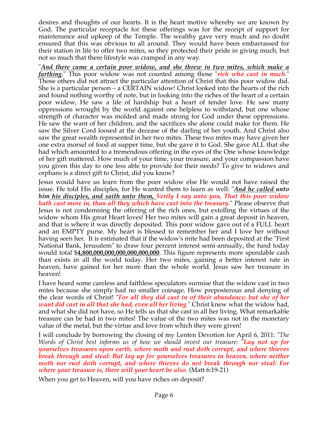desires and thoughts of our hearts. It is the heart motive whereby we are known by God. The particular receptacle for these offerings was for the receipt of support for maintenance and upkeep of the Temple. The wealthy gave very much and no doubt ensured that this was obvious to all around. They would have been embarrassed for their station in life to offer two mites, so they protected their pride in giving much, but not so much that there lifestyle was cramped in any way.

"*And there came a certain poor widow, and she threw in two mites, which make a farthing*." This poor widow was not counted among those "*rich who cast in much*." Those others did not attract the particular attention of Christ that this poor widow did. She is a particular person – a CERTAIN widow! Christ looked into the hearts of the rich and found nothing worthy of note, but in looking into the riches of the heart of a certain poor widow, He saw a life of hardship but a heart of tender love. He saw many oppressions wrought by the world against one helpless to withstand, but one whose strength of character was molded and made strong for God under these oppressions. He saw the want of her children, and the sacrifices she alone could make for them. He saw the Silver Cord loosed at the decease of the darling of her youth. And Christ also saw the great wealth represented in her two mites. These two mites may have given her one extra morsel of food at supper time, but she gave it to God. She gave ALL that she had which amounted to a tremendous offering in the eyes of the One whose knowledge of her gift mattered. How much of your time, your treasure, and your compassion have you given this day to one less able to provide for their needs? To give to widows and orphans is a direct gift to Christ, did you know?

Jesus would have us learn from the poor widow else He would not have raised the issue. He told His disciples, for He wanted them to learn as well: "*And he called unto him his disciples, and saith unto them, Verily I say unto you, That this poor widow hath cast more in, than all they which have cast into the treasury*." Please observe that Jesus is not condemning the offering of the rich ones, but extolling the virtues of the widow whom His great Heart loves! Her two mites will gain a great deposit in heaven, and that is where it was directly deposited. This poor widow gave out of a FULL heart and an EMPTY purse. My heart is blessed to remember her and I love her without having seen her. It is estimated that if the widow's mite had been deposited at the "First National Bank, Jerusalem" to draw four percent interest semi-annually, the fund today would total \$**4,800,000,000,000,000,000,000**. This figure represents more spendable cash than exists in all the world today. Her two mites, gaining a better interest rate in heaven, have gained for her more than the whole world. Jesus saw her treasure in heaven!

I have heard some careless and faithless speculators surmise that the widow cast in two mites because she simply had no smaller coinage. How preposterous and denying of the clear words of Christ! "*For all they did cast in of their abundance; but she of her want did cast in all that she had, even all her living*." Christ knew what the widow had, and what she did not have, so He tells us that she cast in all her living. What remarkable treasure can be had in two mites! The value of the two mites was not in the monetary value of the metal, but the virtue and love from which they were given!

I will conclude by borrowing the closing of my Lenten Devotion for April 6, 2011: "*The Words of Christ best informs us of how we should invest our treasure*: "*Lay not up for yourselves treasures upon earth, where moth and rust doth corrupt, and where thieves break through and steal: But lay up for yourselves treasures in heaven, where neither moth nor rust doth corrupt, and where thieves do not break through nor steal: For where your treasure is, there will your heart be also*. (Matt 6:19-21)

When you get to Heaven, will you have riches on deposit?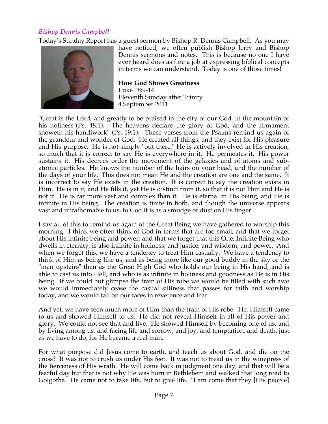# *Bishop Dennis Campbell*

Today's Sunday Report has a guest sermon by Bishop R. Dennis Campbell. As you may



have noticed, we often publish Bishop Jerry and Bishop Dennis sermons and notes. This is because no one I have ever heard does as fine a job at expressing biblical concepts in terms we can understand. Today is one of those times!

**How God Shows Greatness** Luke 18:9-14 Eleventh Sunday after Trinity 4 September 2011

"Great is the Lord, and greatly to be praised in the city of our God, in the mountain of his holiness"(Ps. 48:1). "The heavens declare the glory of God; and the firmament showeth his handiwork" (Ps. 19:1). These verses from the Psalms remind us again of the grandeur and wonder of God. He created all things, and they exist for His pleasure and His purpose. He is not simply "out there," He is actively involved in His creation, so much that it is correct to say He is everywhere in it. He permeates it. His power sustains it. His decrees order the movement of the galaxies and of atoms and subatomic particles. He knows the number of the hairs on your head, and the number of the days of your life. This does not mean He and the creation are one and the same. It is incorrect to say He exists in the creation. It is correct to say the creation exists in Him. He is in it, and He fills it, yet He is distinct from it, so that it is not Him and He is not it. He is far more vast and complex than it. He is eternal in His being, and He is infinite in His being. The creation is finite in both, and though the universe appears vast and unfathomable to us, to God it is as a smudge of dust on His finger.

I say all of this to remind us again of the Great Being we have gathered to worship this morning. I think we often think of God in terms that are too small, and that we forget about His infinite being and power, and that we forget that this One, Infinite Being who dwells in eternity, is also infinite in holiness, and justice, and wisdom, and power. And when we forget this, we have a tendency to treat Him casually. We have a tendency to think of Him as being like us, and as being more like our good buddy in the sky or the "man upstairs" than as the Great High God who holds our being in His hand, and is able to cast us into Hell, and who is as infinite in holiness and goodness as He is in His being. If we could but glimpse the train of His robe we would be filled with such awe we would immediately cease the casual silliness that passes for faith and worship today, and we would fall on our faces in reverence and fear.

And yet, we have seen much more of Him than the train of His robe. He, Himself came to us and showed Himself to us. He did not reveal Himself in all of His power and glory. We could not see that and live. He showed Himself by becoming one of us, and by living among us, and facing life and sorrow, and joy, and temptation, and death, just as we have to do, for He became a real man.

For what purpose did Jesus come to earth, and teach us about God, and die on the cross? It was not to crush us under His feet. It was not to tread us in the winepress of the fierceness of His wrath. He will come back in judgment one day, and that will be a fearful day but that is not why He was born in Bethlehem and walked that long road to Golgotha. He came not to take life, but to give life. "I am come that they [His people]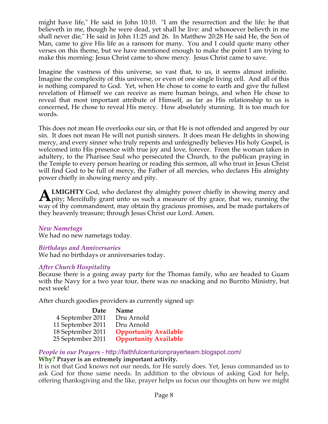might have life," He said in John 10:10. "I am the resurrection and the life: he that believeth in me, though he were dead, yet shall he live: and whosoever believth in me shall never die," He said in John 11:25 and 26. In Matthew 20:28 He said He, the Son of Man, came to give His life as a ransom for many. You and I could quote many other verses on this theme, but we have mentioned enough to make the point I am trying to make this morning: Jesus Christ came to show mercy. Jesus Christ came to save.

Imagine the vastness of this universe, so vast that, to us, it seems almost infinite. Imagine the complexity of this universe, or even of one single living cell. And all of this is nothing compared to God. Yet, when He chose to come to earth and give the fullest revelation of Himself we can receive as mere human beings, and when He chose to reveal that most important attribute of Himself, as far as His relationship to us is concerned, He chose to reveal His mercy. How absolutely stunning. It is too much for words.

This does not mean He overlooks our sin, or that He is not offended and angered by our sin. It does not mean He will not punish sinners. It does mean He delights in showing mercy, and every sinner who truly repents and unfeignedly believes His holy Gospel, is welcomed into His presence with true joy and love, forever. From the woman taken in adultery, to the Pharisee Saul who persecuted the Church, to the publican praying in the Temple to every person hearing or reading this sermon, all who trust in Jesus Christ will find God to be full of mercy, the Father of all mercies, who declares His almighty power chiefly in showing mercy and pity.

**LMIGHTY** God, who declarest thy almighty power chiefly in showing mercy and **ALMIGHTY** God, who declarest thy almighty power chiefly in showing mercy and pity; Mercifully grant unto us such a measure of thy grace, that we, running the way of thy commandment, may obtain thy gracious promises, and be made partakers of they heavenly treasure; through Jesus Christ our Lord. Amen.

#### *New Nametags*

We had no new nametags today.

# *Birthdays and Anniversaries*

We had no birthdays or anniversaries today.

#### *After Church Hospitality*

Because there is a going away party for the Thomas family, who are headed to Guam with the Navy for a two year tour, there was no snacking and no Burrito Ministry, but next week!

After church goodies providers as currently signed up:

| Date              | <b>Name</b>                  |
|-------------------|------------------------------|
| 4 September 2011  | Dru Arnold                   |
| 11 September 2011 | Dru Arnold                   |
| 18 September 2011 | <b>Opportunity Available</b> |
| 25 September 2011 | <b>Opportunity Available</b> |

# *People in our Prayers* - http://faithfulcenturionprayerteam.blogspot.com/

#### **Why? Prayer is an extremely important activity.**

It is not that God knows not our needs, for He surely does. Yet, Jesus commanded us to ask God for those same needs. In addition to the obvious of asking God for help, offering thanksgiving and the like, prayer helps us focus our thoughts on how we might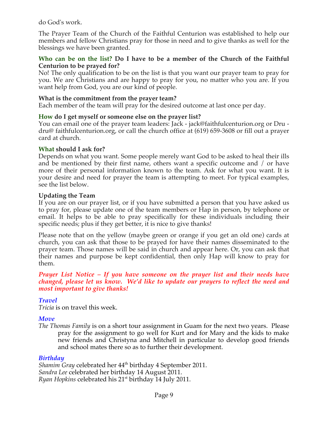do God's work.

The Prayer Team of the Church of the Faithful Centurion was established to help our members and fellow Christians pray for those in need and to give thanks as well for the blessings we have been granted.

#### **Who can be on the list? Do I have to be a member of the Church of the Faithful Centurion to be prayed for?**

No! The only qualification to be on the list is that you want our prayer team to pray for you. We are Christians and are happy to pray for you, no matter who you are. If you want help from God, you are our kind of people.

### **What is the commitment from the prayer team?**

Each member of the team will pray for the desired outcome at last once per day.

### **How do I get myself or someone else on the prayer list?**

You can email one of the prayer team leaders: Jack - jack@faithfulcenturion.org or Dru dru@ faithfulcenturion.org, or call the church office at (619) 659-3608 or fill out a prayer card at church.

### **What should I ask for?**

Depends on what you want. Some people merely want God to be asked to heal their ills and be mentioned by their first name, others want a specific outcome and / or have more of their personal information known to the team. Ask for what you want. It is your desire and need for prayer the team is attempting to meet. For typical examples, see the list below.

### **Updating the Team**

If you are on our prayer list, or if you have submitted a person that you have asked us to pray for, please update one of the team members or Hap in person, by telephone or email. It helps to be able to pray specifically for these individuals including their specific needs; plus if they get better, it is nice to give thanks!

Please note that on the yellow (maybe green or orange if you get an old one) cards at church, you can ask that those to be prayed for have their names disseminated to the prayer team. Those names will be said in church and appear here. Or, you can ask that their names and purpose be kept confidential, then only Hap will know to pray for them.

#### *Prayer List Notice – If you have someone on the prayer list and their needs have changed, please let us know. We'd like to update our prayers to reflect the need and most important to give thanks!*

# *Travel*

*Tricia* is on travel this week.

# *Move*

*The Thomas Family* is on a short tour assignment in Guam for the next two years. Please pray for the assignment to go well for Kurt and for Mary and the kids to make new friends and Christyna and Mitchell in particular to develop good friends and school mates there so as to further their development.

# *Birthday*

*Shamim Gray celebrated her*  $44<sup>th</sup>$  birthday 4 September 2011. *Sandra Lee* celebrated her birthday 14 August 2011. *Ryan Hopkins* celebrated his 21st birthday 14 July 2011.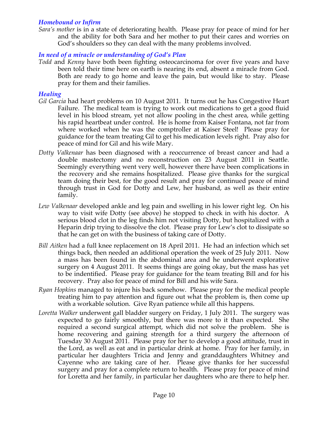#### *Homebound or Infirm*

*Sara's mother* is in a state of deteriorating health. Please pray for peace of mind for her and the ability for both Sara and her mother to put their cares and worries on God's shoulders so they can deal with the many problems involved.

### *In need of a miracle or understanding of God's Plan*

*Todd* and *Kenny* have both been fighting osteocarcinoma for over five years and have been told their time here on earth is nearing its end, absent a miracle from God. Both are ready to go home and leave the pain, but would like to stay. Please pray for them and their families.

### *Healing*

- *Gil Garcia* had heart problems on 10 August 2011. It turns out he has Congestive Heart Failure. The medical team is trying to work out medications to get a good fluid level in his blood stream, yet not allow pooling in the chest area, while getting his rapid heartbeat under control. He is home from Kaiser Fontana, not far from where worked when he was the comptroller at Kaiser Steel! Please pray for guidance for the team treating Gil to get his medication levels right. Pray also for peace of mind for Gil and his wife Mary.
- *Dotty Valkenaar* has been diagnosed with a reoccurrence of breast cancer and had a double mastectomy and no reconstruction on 23 August 2011 in Seattle. Seemingly everything went very well, however there have been complications in the recovery and she remains hospitalized. Please give thanks for the surgical team doing their best, for the good result and pray for continued peace of mind through trust in God for Dotty and Lew, her husband, as well as their entire family.
- *Lew Valkenaar* developed ankle and leg pain and swelling in his lower right leg. On his way to visit wife Dotty (see above) he stopped to check in with his doctor. A serious blood clot in the leg finds him not visiting Dotty, but hospitalized with a Heparin drip trying to dissolve the clot. Please pray for Lew's clot to dissipate so that he can get on with the business of taking care of Dotty.
- *Bill Aitken* had a full knee replacement on 18 April 2011. He had an infection which set things back, then needed an additional operation the week of 25 July 2011. Now a mass has been found in the abdominal area and he underwent explorative surgery on 4 August 2011. It seems things are going okay, but the mass has yet to be indentified. Please pray for guidance for the team treating Bill and for his recovery. Pray also for peace of mind for Bill and his wife Sara.
- *Ryan Hopkins* managed to injure his back somehow. Please pray for the medical people treating him to pay attention and figure out what the problem is, then come up with a workable solution. Give Ryan patience while all this happens.
- *Loretta Walker* underwent gall bladder surgery on Friday, 1 July 2011. The surgery was expected to go fairly smoothly, but there was more to it than expected. She required a second surgical attempt, which did not solve the problem. She is home recovering and gaining strength for a third surgery the afternoon of Tuesday 30 August 2011. Please pray for her to develop a good attitude, trust in the Lord, as well as eat and in particular drink at home. Pray for her family, in particular her daughters Tricia and Jenny and granddaughters Whitney and Cayenne who are taking care of her. Please give thanks for her successful surgery and pray for a complete return to health. Please pray for peace of mind for Loretta and her family, in particular her daughters who are there to help her.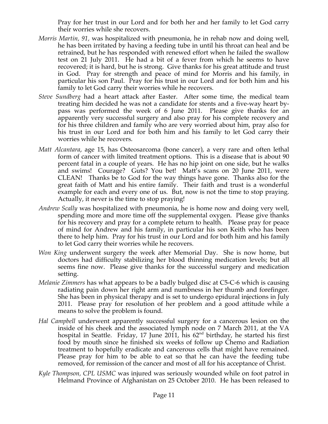Pray for her trust in our Lord and for both her and her family to let God carry their worries while she recovers.

- *Morris Martin, 91,* was hospitalized with pneumonia, he in rehab now and doing well, he has been irritated by having a feeding tube in until his throat can heal and be retrained, but he has responded with renewed effort when he failed the swallow test on 21 July 2011. He had a bit of a fever from which he seems to have recovered; it is hard, but he is strong. Give thanks for his great attitude and trust in God. Pray for strength and peace of mind for Morris and his family, in particular his son Paul. Pray for his trust in our Lord and for both him and his family to let God carry their worries while he recovers.
- *Steve Sundberg* had a heart attack after Easter. After some time, the medical team treating him decided he was not a candidate for stents and a five-way heart bypass was performed the week of 6 June 2011. Please give thanks for an apparently very successful surgery and also pray for his complete recovery and for his three children and family who are very worried about him, pray also for his trust in our Lord and for both him and his family to let God carry their worries while he recovers.
- *Matt Alcantara*, age 15, has Osteosarcoma (bone cancer), a very rare and often lethal form of cancer with limited treatment options. This is a disease that is about 90 percent fatal in a couple of years. He has no hip joint on one side, but he walks and swims! Courage? Guts? You bet! Matt's scans on 20 June 2011, were CLEAN! Thanks be to God for the way things have gone. Thanks also for the great faith of Matt and his entire family. Their faith and trust is a wonderful example for each and every one of us. But, now is not the time to stop praying. Actually, it never is the time to stop praying!
- *Andrew Scally* was hospitalized with pneumonia, he is home now and doing very well, spending more and more time off the supplemental oxygen. Please give thanks for his recovery and pray for a complete return to health. Please pray for peace of mind for Andrew and his family, in particular his son Keith who has been there to help him. Pray for his trust in our Lord and for both him and his family to let God carry their worries while he recovers.
- *Won King* underwent surgery the week after Memorial Day. She is now home, but doctors had difficulty stabilizing her blood thinning medication levels; but all seems fine now. Please give thanks for the successful surgery and medication setting.
- *Melanie Zimmers* has what appears to be a badly bulged disc at C5-C-6 which is causing radiating pain down her right arm and numbness in her thumb and forefinger. She has been in physical therapy and is set to undergo epidural injections in July 2011. Please pray for resolution of her problem and a good attitude while a means to solve the problem is found.
- *Hal Campbell* underwent apparently successful surgery for a cancerous lesion on the inside of his cheek and the associated lymph node on 7 March 2011, at the VA hospital in Seattle. Friday, 17 June 2011, his  $62<sup>nd</sup>$  birthday, he started his first food by mouth since he finished six weeks of follow up Chemo and Radiation treatment to hopefully eradicate and cancerous cells that might have remained. Please pray for him to be able to eat so that he can have the feeding tube removed, for remission of the cancer and most of all for his acceptance of Christ.
- *Kyle Thompson, CPL USMC* was injured was seriously wounded while on foot patrol in Helmand Province of Afghanistan on 25 October 2010. He has been released to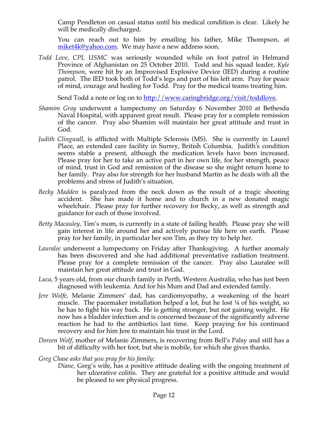Camp Pendleton on casual status until his medical condition is clear. Likely he will be medically discharged.

You can reach out to him by emailing his father, Mike Thompson, at miket4k@yahoo.com. We may have a new address soon.

*Todd Love, CPL USMC* was seriously wounded while on foot patrol in Helmand Province of Afghanistan on 25 October 2010. Todd and his squad leader, *Kyle Thompson*, were hit by an Improvised Explosive Device (IED) during a routine patrol. The IED took both of Todd's legs and part of his left arm. Pray for peace of mind, courage and healing for Todd. Pray for the medical teams treating him.

Send Todd a note or log on to http://www.caringbridge.org/visit/toddlove.

- *Shamim Gray* underwent a lumpectomy on Saturday 6 November 2010 at Bethesda Naval Hospital, with apparent great result. Please pray for a complete remission of the cancer. Pray also Shamim will maintain her great attitude and trust in God.
- *Judith Clingwall*, is afflicted with Multiple Sclerosis (MS). She is currently in Laurel Place, an extended care facility in Surrey, British Columbia. Judith's condition seems stable a present, although the medication levels have been increased. Please pray for her to take an active part in her own life, for her strength, peace of mind, trust in God and remission of the disease so she might return home to her family. Pray also for strength for her husband Martin as he deals with all the problems and stress of Judith's situation.
- *Becky Madden* is paralyzed from the neck down as the result of a tragic shooting accident. She has made it home and to church in a new donated magic wheelchair. Please pray for further recovery for Becky, as well as strength and guidance for each of those involved.
- *Betty Macauley,* Tim's mom, is currently in a state of failing health. Please pray she will gain interest in life around her and actively pursue life here on earth. Please pray for her family, in particular her son Tim, as they try to help her.
- *Lauralee* underwent a lumpectomy on Friday after Thanksgiving. A further anomaly has been discovered and she had additional preventative radiation treatment. Please pray for a complete remission of the cancer. Pray also Lauralee will maintain her great attitude and trust in God.
- *Luca*, 5 years old, from our church family in Perth, Western Australia, who has just been diagnosed with leukemia. And for his Mum and Dad and extended family.
- *Jere Wolfe,* Melanie Zimmers' dad, has cardiomyopathy, a weakening of the heart muscle. The pacemaker installation helped a lot, but he lost ¼ of his weight, so he has to fight his way back. He is getting stronger, but not gaining weight. He now has a bladder infection and is concerned because of the significantly adverse reaction he had to the antibiotics last time. Keep praying for his continued recovery and for him Jere to maintain his trust in the Lord.
- *Doreen Wolf*, mother of Melanie Zimmers, is recovering from Bell's Palsy and still has a bit of difficulty with her foot, but she is mobile, for which she gives thanks.

*Greg Chase asks that you pray for his family:*

*Diane*, Greg's wife, has a positive attitude dealing with the ongoing treatment of her ulcerative colitis. They are grateful for a positive attitude and would be pleased to see physical progress.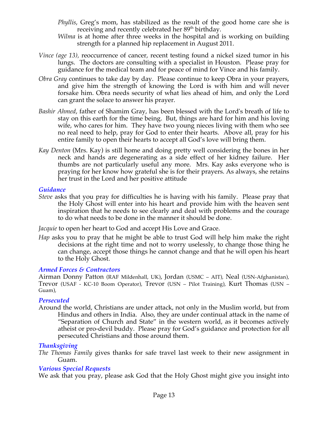- *Phyllis*, Greg's mom, has stabilized as the result of the good home care she is receiving and recently celebrated her  $89<sup>th</sup>$  birthday.
- *Wilma* is at home after three weeks in the hospital and is working on building strength for a planned hip replacement in August 2011.
- *Vince (age 13), reoccurrence of cancer, recent testing found a nickel sized tumor in his* lungs. The doctors are consulting with a specialist in Houston. Please pray for guidance for the medical team and for peace of mind for Vince and his family.
- *Obra Gray* continues to take day by day. Please continue to keep Obra in your prayers, and give him the strength of knowing the Lord is with him and will never forsake him. Obra needs security of what lies ahead of him, and only the Lord can grant the solace to answer his prayer.
- *Bashir Ahmed*, father of Shamim Gray, has been blessed with the Lord's breath of life to stay on this earth for the time being. But, things are hard for him and his loving wife, who cares for him. They have two young nieces living with them who see no real need to help, pray for God to enter their hearts. Above all, pray for his entire family to open their hearts to accept all God's love will bring them.
- *Kay Denton* (Mrs. Kay) is still home and doing pretty well considering the bones in her neck and hands are degenerating as a side effect of her kidney failure. Her thumbs are not particularly useful any more. Mrs. Kay asks everyone who is praying for her know how grateful she is for their prayers. As always, she retains her trust in the Lord and her positive attitude.

#### *Guidance*

*Steve* asks that you pray for difficulties he is having with his family. Please pray that the Holy Ghost will enter into his heart and provide him with the heaven sent inspiration that he needs to see clearly and deal with problems and the courage to do what needs to be done in the manner it should be done.

*Jacquie* to open her heart to God and accept His Love and Grace.

*Hap* asks you to pray that he might be able to trust God will help him make the right decisions at the right time and not to worry uselessly, to change those thing he can change, accept those things he cannot change and that he will open his heart to the Holy Ghost.

#### *Armed Forces & Contractors*

Airman Donny Patton (RAF Mildenhall, UK), Jordan (USMC – AIT), Neal (USN-Afghanistan), Trevor (USAF - KC-10 Boom Operator), Trevor (USN – Pilot Training), Kurt Thomas (USN – Guam),

#### *Persecuted*

Around the world, Christians are under attack, not only in the Muslim world, but from Hindus and others in India. Also, they are under continual attack in the name of "Separation of Church and State" in the western world, as it becomes actively atheist or pro-devil buddy. Please pray for God's guidance and protection for all persecuted Christians and those around them.

#### *Thanksgiving*

*The Thomas Family* gives thanks for safe travel last week to their new assignment in Guam.

#### *Various Special Requests*

We ask that you pray, please ask God that the Holy Ghost might give you insight into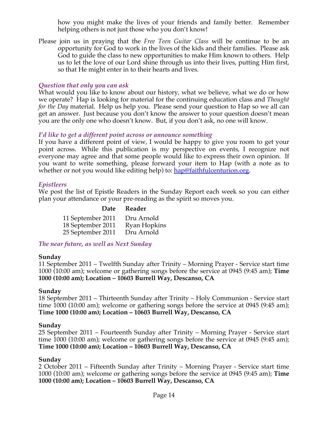how you might make the lives of your friends and family better. Remember helping others is not just those who you don't know!

Please join us in praying that the *Free Teen Guitar Class* will be continue to be an opportunity for God to work in the lives of the kids and their families. Please ask God to guide the class to new opportunities to make Him known to others. Help us to let the love of our Lord shine through us into their lives, putting Him first, so that He might enter in to their hearts and lives.

### *Question that only you can ask*

What would you like to know about our history, what we believe, what we do or how we operate? Hap is looking for material for the continuing education class and *Thought for the Day* material. Help us help you. Please send your question to Hap so we all can get an answer. Just because you don't know the answer to your question doesn't mean you are the only one who doesn't know. But, if you don't ask, no one will know.

### *I'd like to get a different point across or announce something*

If you have a different point of view, I would be happy to give you room to get your point across. While this publication is my perspective on events, I recognize not everyone may agree and that some people would like to express their own opinion. If you want to write something, please forward your item to Hap (with a note as to whether or not you would like editing help) to: hap@faithfulcenturion.org.

#### *Epistleers*

We post the list of Epistle Readers in the Sunday Report each week so you can either plan your attendance or your pre-reading as the spirit so moves you.

#### **Date Reader**

| 11 September 2011 | Dru Arnold   |
|-------------------|--------------|
| 18 September 2011 | Ryan Hopkins |
| 25 September 2011 | Dru Arnold   |

*The near future, as well as Next Sunday*

#### **Sunday**

11 September 2011 – Twelfth Sunday after Trinity – Morning Prayer - Service start time 1000 (10:00 am); welcome or gathering songs before the service at 0945 (9:45 am); **Time 1000 (10:00 am); Location – 10603 Burrell Way, Descanso, CA**

#### **Sunday**

18 September 2011 – Thirteenth Sunday after Trinity – Holy Communion - Service start time 1000 (10:00 am); welcome or gathering songs before the service at 0945 (9:45 am); **Time 1000 (10:00 am); Location – 10603 Burrell Way, Descanso, CA**

#### **Sunday**

25 September 2011 – Fourteenth Sunday after Trinity – Morning Prayer - Service start time 1000 (10:00 am); welcome or gathering songs before the service at 0945 (9:45 am); **Time 1000 (10:00 am); Location – 10603 Burrell Way, Descanso, CA**

#### **Sunday**

2 October 2011 – Fifteenth Sunday after Trinity – Morning Prayer - Service start time 1000 (10:00 am); welcome or gathering songs before the service at 0945 (9:45 am); **Time 1000 (10:00 am); Location – 10603 Burrell Way, Descanso, CA**